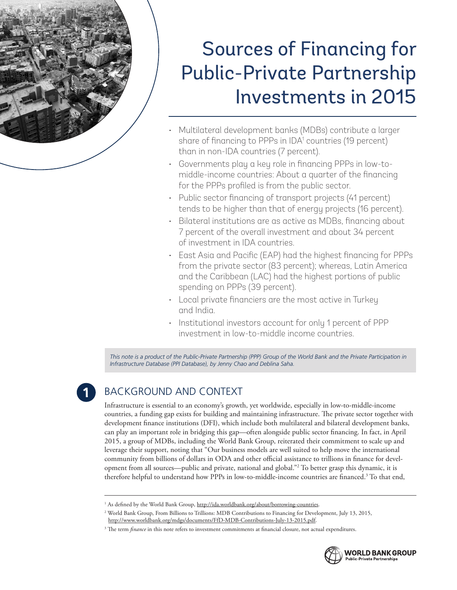

# Sources of Financing for Public-Private Partnership Investments in 2015

- Multilateral development banks (MDBs) contribute a larger share of financing to PPPs in IDA<sup>1</sup> countries (19 percent) than in non-IDA countries (7 percent).
- Governments play a key role in financing PPPs in low-tomiddle-income countries: About a quarter of the financing for the PPPs profiled is from the public sector.
- Public sector financing of transport projects (41 percent) tends to be higher than that of energy projects (16 percent).
- Bilateral institutions are as active as MDBs, financing about 7 percent of the overall investment and about 34 percent of investment in IDA countries.
- • East Asia and Pacific (EAP) had the highest financing for PPPs from the private sector (83 percent); whereas, Latin America and the Caribbean (LAC) had the highest portions of public spending on PPPs (39 percent).
- Local private financiers are the most active in Turkey and India.
- Institutional investors account for only 1 percent of PPP investment in low-to-middle income countries.

*This note is a product of the Public-Private Partnership (PPP) Group of the World Bank and the Private Participation in Infrastructure Database (PPI Database), by Jenny Chao and Deblina Saha.*

## BACKGROUND AND CONTEXT

Infrastructure is essential to an economy's growth, yet worldwide, especially in low-to-middle-income countries, a funding gap exists for building and maintaining infrastructure. The private sector together with development finance institutions (DFI), which include both multilateral and bilateral development banks, can play an important role in bridging this gap—often alongside public sector financing. In fact, in April 2015, a group of MDBs, including the World Bank Group, reiterated their commitment to scale up and leverage their support, noting that "Our business models are well suited to help move the international community from billions of dollars in ODA and other official assistance to trillions in finance for development from all sources—public and private, national and global."2 To better grasp this dynamic, it is therefore helpful to understand how PPPs in low-to-middle-income countries are financed.3 To that end,

<sup>&</sup>lt;sup>3</sup> The term *finance* in this note refers to investment commitments at financial closure, not actual expenditures.



<sup>&</sup>lt;sup>1</sup> As defined by the World Bank Group, <u>http://ida.worldbank.org/about/borrowing-countries</u>.

<sup>2</sup> World Bank Group, From Billions to Trillions: MDB Contributions to Financing for Development, July 13, 2015, http://www.worldbank.org/mdgs/documents/FfD-MDB-Contributions-July-13-2015.pdf.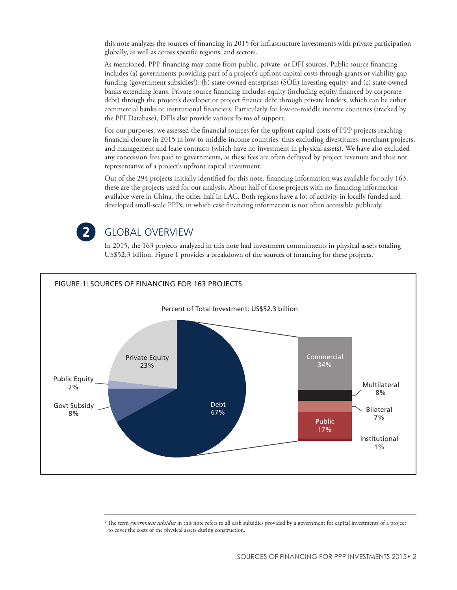this note analyzes the sources of financing in 2015 for infrastructure investments with private participation globally, as well as across specific regions, and sectors.

As mentioned, PPP financing may come from public, private, or DFI sources. Public source financing includes (a) governments providing part of a project's upfront capital costs through grants or viability gap funding (government subsidies<sup>4</sup>); (b) state-owned enterprises (SOE) investing equity; and (c) state-owned banks extending loans. Private source financing includes equity (including equity financed by corporate debt) through the project's developer or project finance debt through private lenders, which can be either commercial banks or institutional financiers. Particularly for low-to-middle income countries (tracked by the PPI Database), DFIs also provide various forms of support.

For our purposes, we assessed the financial sources for the upfront capital costs of PPP projects reaching financial closure in 2015 in low-to-middle-income countries, thus excluding divestitures, merchant projects, and management and lease contracts (which have no investment in physical assets). We have also excluded any concession fees paid to governments, as these fees are often defrayed by project revenues and thus not representative of a project's upfront capital investment.

Out of the 294 projects initially identified for this note, financing information was available for only 163; these are the projects used for our analysis. About half of those projects with no financing information available were in China, the other half in LAC. Both regions have a lot of activity in locally funded and developed small-scale PPPs, in which case financing information is not often accessible publicaly.



#### GLOBAL OVERVIEW

In 2015, the 163 projects analyzed in this note had investment commitments in physical assets totaling US\$52.3 billion. Figure 1 provides a breakdown of the sources of financing for these projects.



<sup>4</sup> The term *government subsidies* in this note refers to all cash subsidies provided by a government for capital investments of a project to cover the costs of the physical assets during construction.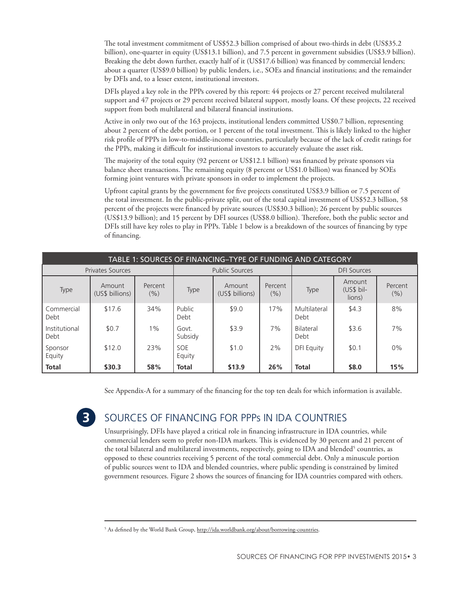The total investment commitment of US\$52.3 billion comprised of about two-thirds in debt (US\$35.2 billion), one-quarter in equity (US\$13.1 billion), and 7.5 percent in government subsidies (US\$3.9 billion). Breaking the debt down further, exactly half of it (US\$17.6 billion) was financed by commercial lenders; about a quarter (US\$9.0 billion) by public lenders, i.e., SOEs and financial institutions; and the remainder by DFIs and, to a lesser extent, institutional investors.

DFIs played a key role in the PPPs covered by this report: 44 projects or 27 percent received multilateral support and 47 projects or 29 percent received bilateral support, mostly loans. Of these projects, 22 received support from both multilateral and bilateral financial institutions.

Active in only two out of the 163 projects, institutional lenders committed US\$0.7 billion, representing about 2 percent of the debt portion, or 1 percent of the total investment. This is likely linked to the higher risk profile of PPPs in low-to-middle-income countries, particularly because of the lack of credit ratings for the PPPs, making it difficult for institutional investors to accurately evaluate the asset risk.

The majority of the total equity (92 percent or US\$12.1 billion) was financed by private sponsors via balance sheet transactions. The remaining equity (8 percent or US\$1.0 billion) was financed by SOEs forming joint ventures with private sponsors in order to implement the projects.

Upfront capital grants by the government for five projects constituted US\$3.9 billion or 7.5 percent of the total investment. In the public-private split, out of the total capital investment of US\$52.3 billion, 58 percent of the projects were financed by private sources (US\$30.3 billion); 26 percent by public sources (US\$13.9 billion); and 15 percent by DFI sources (US\$8.0 billion). Therefore, both the public sector and DFIs still have key roles to play in PPPs. Table 1 below is a breakdown of the sources of financing by type of financing.

| TABLE 1: SOURCES OF FINANCING-TYPE OF FUNDING AND CATEGORY |                           |                       |                      |                           |                    |                      |                                |                  |  |  |
|------------------------------------------------------------|---------------------------|-----------------------|----------------------|---------------------------|--------------------|----------------------|--------------------------------|------------------|--|--|
|                                                            | <b>Privates Sources</b>   | <b>Public Sources</b> |                      |                           | <b>DFI Sources</b> |                      |                                |                  |  |  |
| Type                                                       | Amount<br>(US\$ billions) | Percent<br>(9/6)      | Type                 | Amount<br>(US\$ billions) | Percent<br>(%)     | Type                 | Amount<br>(US\$ bil-<br>lions) | Percent<br>(9/6) |  |  |
| Commercial<br>Debt                                         | \$17.6                    | 34%                   | Public<br>Debt       | \$9.0                     | 17%                | Multilateral<br>Debt | \$4.3                          | 8%               |  |  |
| Institutional<br>Debt                                      | \$0.7                     | $1\%$                 | Govt.<br>Subsidy     | \$3.9                     | 7%                 | Bilateral<br>Debt    | \$3.6                          | 7%               |  |  |
| Sponsor<br>Equity                                          | \$12.0                    | 23%                   | <b>SOE</b><br>Equity | \$1.0                     | 2%                 | <b>DFI Equity</b>    | \$0.1                          | 0%               |  |  |
| <b>Total</b>                                               | \$30.3                    | 58%                   | <b>Total</b>         | \$13.9                    | 26%                | <b>Total</b>         | \$8.0                          | 15%              |  |  |

See Appendix-A for a summary of the financing for the top ten deals for which information is available.

 $\overline{\mathbf{3}}$ 

## SOURCES OF FINANCING FOR PPPs IN IDA COUNTRIES

Unsurprisingly, DFIs have played a critical role in financing infrastructure in IDA countries, while commercial lenders seem to prefer non-IDA markets. This is evidenced by 30 percent and 21 percent of the total bilateral and multilateral investments, respectively, going to IDA and blended<sup>5</sup> countries, as opposed to these countries receiving 5 percent of the total commercial debt. Only a minuscule portion of public sources went to IDA and blended countries, where public spending is constrained by limited government resources. Figure 2 shows the sources of financing for IDA countries compared with others.

<sup>&</sup>lt;sup>5</sup> As defined by the World Bank Group, http://ida.worldbank.org/about/borrowing-countries.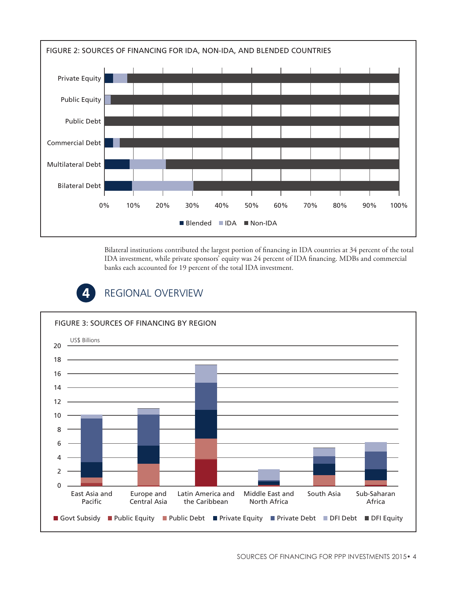

Bilateral institutions contributed the largest portion of financing in IDA countries at 34 percent of the total IDA investment, while private sponsors' equity was 24 percent of IDA financing. MDBs and commercial banks each accounted for 19 percent of the total IDA investment.



## REGIONAL OVERVIEW

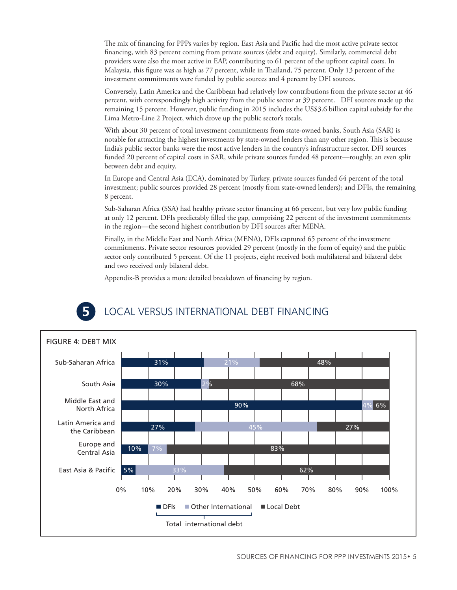The mix of financing for PPPs varies by region. East Asia and Pacific had the most active private sector financing, with 83 percent coming from private sources (debt and equity). Similarly, commercial debt providers were also the most active in EAP, contributing to 61 percent of the upfront capital costs. In Malaysia, this figure was as high as 77 percent, while in Thailand, 75 percent. Only 13 percent of the investment commitments were funded by public sources and 4 percent by DFI sources.

Conversely, Latin America and the Caribbean had relatively low contributions from the private sector at 46 percent, with correspondingly high activity from the public sector at 39 percent. DFI sources made up the remaining 15 percent. However, public funding in 2015 includes the US\$3.6 billion capital subsidy for the Lima Metro-Line 2 Project, which drove up the public sector's totals.

With about 30 percent of total investment commitments from state-owned banks, South Asia (SAR) is notable for attracting the highest investments by state-owned lenders than any other region. This is because India's public sector banks were the most active lenders in the country's infrastructure sector. DFI sources funded 20 percent of capital costs in SAR, while private sources funded 48 percent—roughly, an even split between debt and equity.

In Europe and Central Asia (ECA), dominated by Turkey, private sources funded 64 percent of the total investment; public sources provided 28 percent (mostly from state-owned lenders); and DFIs, the remaining 8 percent.

Sub-Saharan Africa (SSA) had healthy private sector financing at 66 percent, but very low public funding at only 12 percent. DFIs predictably filled the gap, comprising 22 percent of the investment commitments in the region—the second highest contribution by DFI sources after MENA.

Finally, in the Middle East and North Africa (MENA), DFIs captured 65 percent of the investment commitments. Private sector resources provided 29 percent (mostly in the form of equity) and the public sector only contributed 5 percent. Of the 11 projects, eight received both multilateral and bilateral debt and two received only bilateral debt.

Appendix-B provides a more detailed breakdown of financing by region.

## LOCAL VERSUS INTERNATIONAL DEBT FINANCING

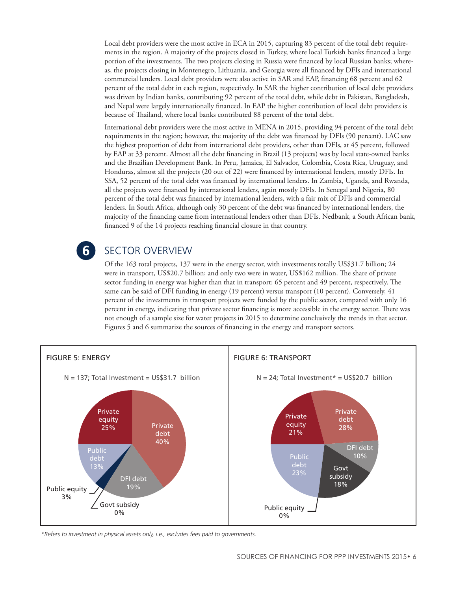Local debt providers were the most active in ECA in 2015, capturing 83 percent of the total debt requirements in the region. A majority of the projects closed in Turkey, where local Turkish banks financed a large portion of the investments. The two projects closing in Russia were financed by local Russian banks; whereas, the projects closing in Montenegro, Lithuania, and Georgia were all financed by DFIs and international commercial lenders. Local debt providers were also active in SAR and EAP, financing 68 percent and 62 percent of the total debt in each region, respectively. In SAR the higher contribution of local debt providers was driven by Indian banks, contributing 92 percent of the total debt, while debt in Pakistan, Bangladesh, and Nepal were largely internationally financed. In EAP the higher contribution of local debt providers is because of Thailand, where local banks contributed 88 percent of the total debt.

International debt providers were the most active in MENA in 2015, providing 94 percent of the total debt requirements in the region; however, the majority of the debt was financed by DFIs (90 percent). LAC saw the highest proportion of debt from international debt providers, other than DFIs, at 45 percent, followed by EAP at 33 percent. Almost all the debt financing in Brazil (13 projects) was by local state-owned banks and the Brazilian Development Bank. In Peru, Jamaica, El Salvador, Colombia, Costa Rica, Uruguay, and Honduras, almost all the projects (20 out of 22) were financed by international lenders, mostly DFIs. In SSA, 52 percent of the total debt was financed by international lenders. In Zambia, Uganda, and Rwanda, all the projects were financed by international lenders, again mostly DFIs. In Senegal and Nigeria, 80 percent of the total debt was financed by international lenders, with a fair mix of DFIs and commercial lenders. In South Africa, although only 30 percent of the debt was financed by international lenders, the majority of the financing came from international lenders other than DFIs. Nedbank, a South African bank, financed 9 of the 14 projects reaching financial closure in that country.

## $6<sup>1</sup>$

## SECTOR OVERVIEW

Of the 163 total projects, 137 were in the energy sector, with investments totally US\$31.7 billion; 24 were in transport, US\$20.7 billion; and only two were in water, US\$162 million. The share of private sector funding in energy was higher than that in transport: 65 percent and 49 percent, respectively. The same can be said of DFI funding in energy (19 percent) versus transport (10 percent). Conversely, 41 percent of the investments in transport projects were funded by the public sector, compared with only 16 percent in energy, indicating that private sector financing is more accessible in the energy sector. There was not enough of a sample size for water projects in 2015 to determine conclusively the trends in that sector. Figures 5 and 6 summarize the sources of financing in the energy and transport sectors.



*\*Refers to investment in physical assets only, i.e., excludes fees paid to governments.*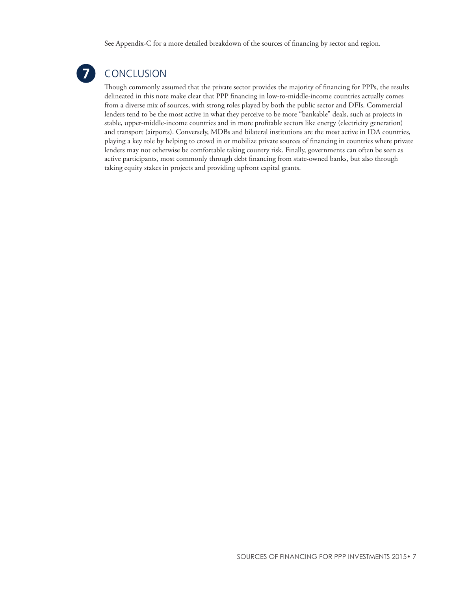See Appendix-C for a more detailed breakdown of the sources of financing by sector and region.



## CONCLUSION

Though commonly assumed that the private sector provides the majority of financing for PPPs, the results delineated in this note make clear that PPP financing in low-to-middle-income countries actually comes from a diverse mix of sources, with strong roles played by both the public sector and DFIs. Commercial lenders tend to be the most active in what they perceive to be more "bankable" deals, such as projects in stable, upper-middle-income countries and in more profitable sectors like energy (electricity generation) and transport (airports). Conversely, MDBs and bilateral institutions are the most active in IDA countries, playing a key role by helping to crowd in or mobilize private sources of financing in countries where private lenders may not otherwise be comfortable taking country risk. Finally, governments can often be seen as active participants, most commonly through debt financing from state-owned banks, but also through taking equity stakes in projects and providing upfront capital grants.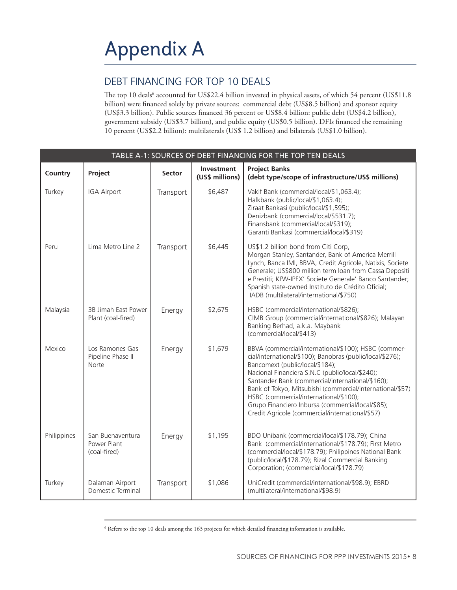## DEBT FINANCING FOR TOP 10 DEALS

The top 10 deals<sup>6</sup> accounted for US\$22.4 billion invested in physical assets, of which 54 percent (US\$11.8 billion) were financed solely by private sources: commercial debt (US\$8.5 billion) and sponsor equity (US\$3.3 billion). Public sources financed 36 percent or US\$8.4 billion: public debt (US\$4.2 billion), government subsidy (US\$3.7 billion), and public equity (US\$0.5 billion). DFIs financed the remaining 10 percent (US\$2.2 billion): multilaterals (US\$ 1.2 billion) and bilaterals (US\$1.0 billion).

| TABLE A-1: SOURCES OF DEBT FINANCING FOR THE TOP TEN DEALS |                                                 |               |                               |                                                                                                                                                                                                                                                                                                                                                                                                                                                                            |  |  |  |  |  |  |
|------------------------------------------------------------|-------------------------------------------------|---------------|-------------------------------|----------------------------------------------------------------------------------------------------------------------------------------------------------------------------------------------------------------------------------------------------------------------------------------------------------------------------------------------------------------------------------------------------------------------------------------------------------------------------|--|--|--|--|--|--|
| Country                                                    | Project                                         | <b>Sector</b> | Investment<br>(US\$ millions) | <b>Project Banks</b><br>(debt type/scope of infrastructure/US\$ millions)                                                                                                                                                                                                                                                                                                                                                                                                  |  |  |  |  |  |  |
| Turkey                                                     | <b>IGA Airport</b>                              | Transport     | \$6,487                       | Vakif Bank (commercial/local/\$1,063.4);<br>Halkbank (public/local/\$1,063.4);<br>Ziraat Bankasi (public/local/\$1,595);<br>Denizbank (commercial/local/\$531.7);<br>Finansbank (commercial/local/\$319);<br>Garanti Bankasi (commercial/local/\$319)                                                                                                                                                                                                                      |  |  |  |  |  |  |
| Peru                                                       | Lima Metro Line 2                               | Transport     | \$6,445                       | US\$1.2 billion bond from Citi Corp,<br>Morgan Stanley, Santander, Bank of America Merrill<br>Lynch, Banca IMI, BBVA, Credit Agricole, Natixis, Societe<br>Generale; US\$800 million term loan from Cassa Depositi<br>e Prestiti; KfW-IPEX' Societe Generale' Banco Santander;<br>Spanish state-owned Instituto de Crédito Oficial;<br>IADB (multilateral/international/\$750)                                                                                             |  |  |  |  |  |  |
| Malaysia                                                   | 3B Jimah East Power<br>Plant (coal-fired)       | Energy        | \$2,675                       | HSBC (commercial/international/\$826);<br>CIMB Group (commercial/international/\$826); Malayan<br>Banking Berhad, a.k.a. Maybank<br>(commercial/local/\$413)                                                                                                                                                                                                                                                                                                               |  |  |  |  |  |  |
| Mexico                                                     | Los Ramones Gas<br>Pipeline Phase II<br>Norte   | Energy        | \$1,679                       | BBVA (commercial/international/\$100); HSBC (commer-<br>cial/international/\$100); Banobras (public/local/\$276);<br>Bancomext (public/local/\$184);<br>Nacional Financiera S.N.C (public/local/\$240);<br>Santander Bank (commercial/international/\$160);<br>Bank of Tokyo, Mitsubishi (commercial/international/\$57)<br>HSBC (commercial/international/\$100);<br>Grupo Financiero Inbursa (commercial/local/\$85);<br>Credit Agricole (commercial/international/\$57) |  |  |  |  |  |  |
| Philippines                                                | San Buenaventura<br>Power Plant<br>(coal-fired) | Energy        | \$1,195                       | BDO Unibank (commercial/local/\$178.79); China<br>Bank (commercial/international/\$178.79); First Metro<br>(commercial/local/\$178.79); Philippines National Bank<br>(public/local/\$178.79); Rizal Commercial Banking<br>Corporation; (commercial/local/\$178.79)                                                                                                                                                                                                         |  |  |  |  |  |  |
| Turkey                                                     | Dalaman Airport<br>Domestic Terminal            | Transport     | \$1,086                       | UniCredit (commercial/international/\$98.9); EBRD<br>(multilateral/international/\$98.9)                                                                                                                                                                                                                                                                                                                                                                                   |  |  |  |  |  |  |

 $^6$  Refers to the top 10 deals among the 163 projects for which detailed financing information is available.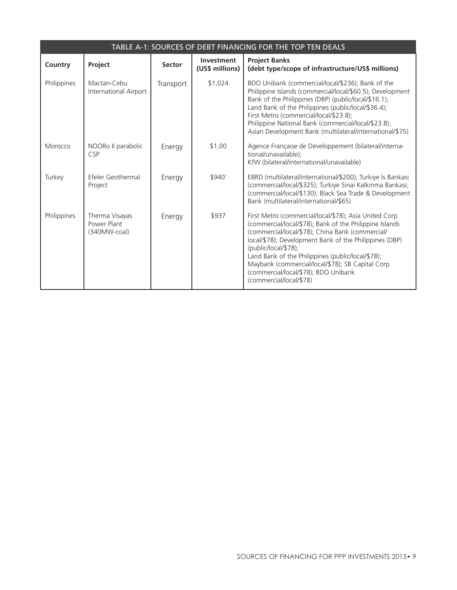| TABLE A-1: SOURCES OF DEBT FINANCING FOR THE TOP TEN DEALS |                                                 |               |                               |                                                                                                                                                                                                                                                                                                                                                                                                                                    |  |  |  |  |  |
|------------------------------------------------------------|-------------------------------------------------|---------------|-------------------------------|------------------------------------------------------------------------------------------------------------------------------------------------------------------------------------------------------------------------------------------------------------------------------------------------------------------------------------------------------------------------------------------------------------------------------------|--|--|--|--|--|
| Country                                                    | Project                                         | <b>Sector</b> | Investment<br>(US\$ millions) | <b>Project Banks</b><br>(debt type/scope of infrastructure/US\$ millions)                                                                                                                                                                                                                                                                                                                                                          |  |  |  |  |  |
| Philippines                                                | Mactan-Cebu<br>International Airport            | Transport     | \$1,024                       | BDO Unibank (commercial/local/\$236); Bank of the<br>Philippine Islands (commercial/local/\$60.5); Development<br>Bank of the Philippines (DBP) (public/local/\$16.1);<br>Land Bank of the Philippines (public/local/\$36.4);<br>First Metro (commercial/local/\$23.8);<br>Philippine National Bank (commercial/local/\$23.8);<br>Asian Development Bank (multilateral/international/\$75)                                         |  |  |  |  |  |
| Morocco                                                    | NOORo II parabolic<br><b>CSP</b>                | Energy        | \$1,00                        | Agence Française de Développement (bilateral/interna-<br>tional/unavailable):<br>KfW (bilateral/international/unavailable)                                                                                                                                                                                                                                                                                                         |  |  |  |  |  |
| Turkey                                                     | Efeler Geothermal<br>Project                    | Energy        | \$940                         | EBRD (multilateral/international/\$200); Turkiye Is Bankasi<br>(commercial/local/\$325); Turkiye Sinai Kalkinma Bankasi;<br>(commercial/local/\$130); Black Sea Trade & Development<br>Bank (multilateral/international/\$65)                                                                                                                                                                                                      |  |  |  |  |  |
| Philippines                                                | Therma Visayas<br>Power Plant<br>$(340MW-coal)$ | Energy        | \$937                         | First Metro (commercial/local/\$78); Asia United Corp<br>(commercial/local/\$78); Bank of the Philippine Islands<br>(commercial/local/\$78); China Bank (commercial/<br>local/\$78); Development Bank of the Philippines (DBP)<br>(public/local/\$78);<br>Land Bank of the Philippines (public/local/\$78);<br>Maybank (commercial/local/\$78); SB Capital Corp<br>(commercial/local/\$78); BDO Unibank<br>(commercial/local/\$78) |  |  |  |  |  |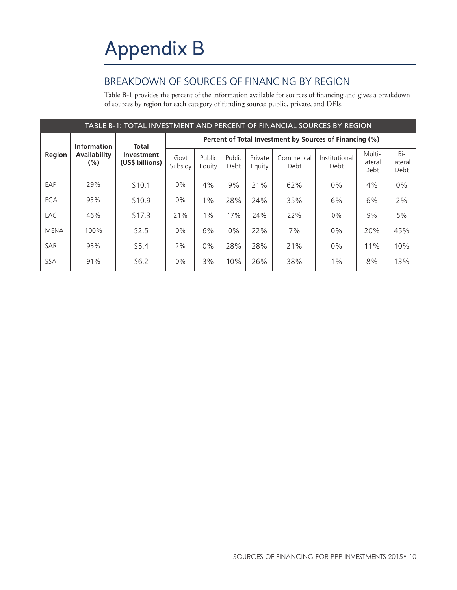## BREAKDOWN OF SOURCES OF FINANCING BY REGION

Table B-1 provides the percent of the information available for sources of financing and gives a breakdown of sources by region for each category of funding source: public, private, and DFIs.

| TABLE B-1: TOTAL INVESTMENT AND PERCENT OF FINANCIAL SOURCES BY REGION |                     |                                                      |                                                         |                  |                |                   |                    |                       |                           |                        |  |
|------------------------------------------------------------------------|---------------------|------------------------------------------------------|---------------------------------------------------------|------------------|----------------|-------------------|--------------------|-----------------------|---------------------------|------------------------|--|
| Region<br>$(\% )$                                                      | <b>Information</b>  | <b>Total</b><br><b>Investment</b><br>(US\$ billions) | Percent of Total Investment by Sources of Financing (%) |                  |                |                   |                    |                       |                           |                        |  |
|                                                                        | <b>Availability</b> |                                                      | Govt<br>Subsidy                                         | Public<br>Equity | Public<br>Debt | Private<br>Equity | Commerical<br>Debt | Institutional<br>Debt | Multi-<br>lateral<br>Debt | Bi-<br>lateral<br>Debt |  |
| EAP                                                                    | 29%                 | \$10.1                                               | 0%                                                      | 4%               | 9%             | 21%               | 62%                | 0%                    | 4%                        | $0\%$                  |  |
| ECA                                                                    | 93%                 | \$10.9                                               | 0%                                                      | $1\%$            | 28%            | 24%               | 35%                | 6%                    | 6%                        | 2%                     |  |
| <b>LAC</b>                                                             | 46%                 | \$17.3                                               | 21%                                                     | $1\%$            | 17%            | 24%               | 22%                | 0%                    | 9%                        | 5%                     |  |
| <b>MENA</b>                                                            | 100%                | \$2.5                                                | 0%                                                      | 6%               | $0\%$          | 22%               | 7%                 | 0%                    | 20%                       | 45%                    |  |
| <b>SAR</b>                                                             | 95%                 | \$5.4                                                | 2%                                                      | $0\%$            | 28%            | 28%               | 21%                | 0%                    | 11%                       | 10%                    |  |
| <b>SSA</b>                                                             | 91%                 | \$6.2                                                | 0%                                                      | 3%               | 10%            | 26%               | 38%                | $1\%$                 | 8%                        | 13%                    |  |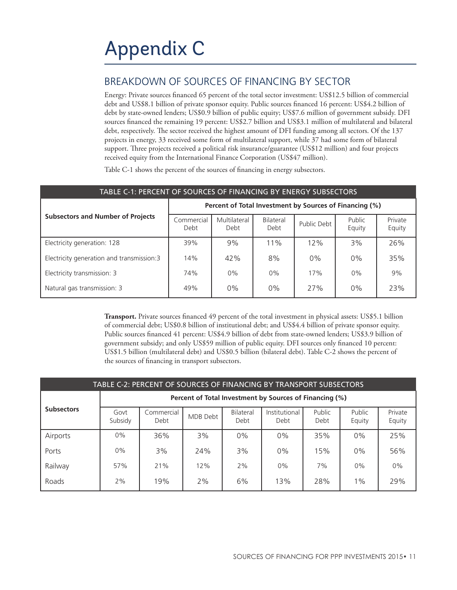### BREAKDOWN OF SOURCES OF FINANCING BY SECTOR

Energy: Private sources financed 65 percent of the total sector investment: US\$12.5 billion of commercial debt and US\$8.1 billion of private sponsor equity. Public sources financed 16 percent: US\$4.2 billion of debt by state-owned lenders; US\$0.9 billion of public equity; US\$7.6 million of government subsidy. DFI sources financed the remaining 19 percent: US\$2.7 billion and US\$3.1 million of multilateral and bilateral debt, respectively. The sector received the highest amount of DFI funding among all sectors. Of the 137 projects in energy, 33 received some form of multilateral support, while 37 had some form of bilateral support. Three projects received a political risk insurance/guarantee (US\$12 million) and four projects received equity from the International Finance Corporation (US\$47 million).

Table C-1 shows the percent of the sources of financing in energy subsectors.

| TABLE C-1: PERCENT OF SOURCES OF FINANCING BY ENERGY SUBSECTORS |                                                         |                      |                   |             |                  |                   |  |  |  |  |
|-----------------------------------------------------------------|---------------------------------------------------------|----------------------|-------------------|-------------|------------------|-------------------|--|--|--|--|
|                                                                 | Percent of Total Investment by Sources of Financing (%) |                      |                   |             |                  |                   |  |  |  |  |
| <b>Subsectors and Number of Projects</b>                        | Commercial<br>Debt                                      | Multilateral<br>Debt | Bilateral<br>Debt | Public Debt | Public<br>Equity | Private<br>Equity |  |  |  |  |
| Electricity generation: 128                                     | 39%                                                     | 9%                   | 11%               | 12%         | 3%               | 26%               |  |  |  |  |
| Electricity generation and transmission:3                       | 14%                                                     | 42%                  | 8%                | 0%          | 0%               | 35%               |  |  |  |  |
| Electricity transmission: 3                                     | 74%                                                     | 0%                   | 0%                | 17%         | 0%               | 9%                |  |  |  |  |
| Natural gas transmission: 3                                     | 49%                                                     | $0\%$                | 0%                | 27%         | $0\%$            | 23%               |  |  |  |  |

**Transport.** Private sources financed 49 percent of the total investment in physical assets: US\$5.1 billion of commercial debt; US\$0.8 billion of institutional debt; and US\$4.4 billion of private sponsor equity. Public sources financed 41 percent: US\$4.9 billion of debt from state-owned lenders; US\$3.9 billion of government subsidy; and only US\$59 million of public equity. DFI sources only financed 10 percent: US\$1.5 billion (multilateral debt) and US\$0.5 billion (bilateral debt). Table C-2 shows the percent of the sources of financing in transport subsectors.

| TABLE C-2: PERCENT OF SOURCES OF FINANCING BY TRANSPORT SUBSECTORS |                                                         |                    |          |                   |                       |                |                  |                   |  |  |  |
|--------------------------------------------------------------------|---------------------------------------------------------|--------------------|----------|-------------------|-----------------------|----------------|------------------|-------------------|--|--|--|
|                                                                    | Percent of Total Investment by Sources of Financing (%) |                    |          |                   |                       |                |                  |                   |  |  |  |
| <b>Subsectors</b>                                                  | Govt<br>Subsidy                                         | Commercial<br>Debt | MDB Debt | Bilateral<br>Debt | Institutional<br>Debt | Public<br>Debt | Public<br>Equity | Private<br>Equity |  |  |  |
| Airports                                                           | $0\%$                                                   | 36%                | 3%       | 0%                | 0%                    | 35%            | $0\%$            | 25%               |  |  |  |
| Ports                                                              | 0%                                                      | 3%                 | 24%      | 3%                | 0%                    | 15%            | 0%               | 56%               |  |  |  |
| Railway                                                            | 57%                                                     | 21%                | 12%      | 2%                | $0\%$                 | 7%             | $0\%$            | 0%                |  |  |  |
| Roads                                                              | 2%                                                      | 19%                | 2%       | 6%                | 13%                   | 28%            | $1\%$            | 29%               |  |  |  |